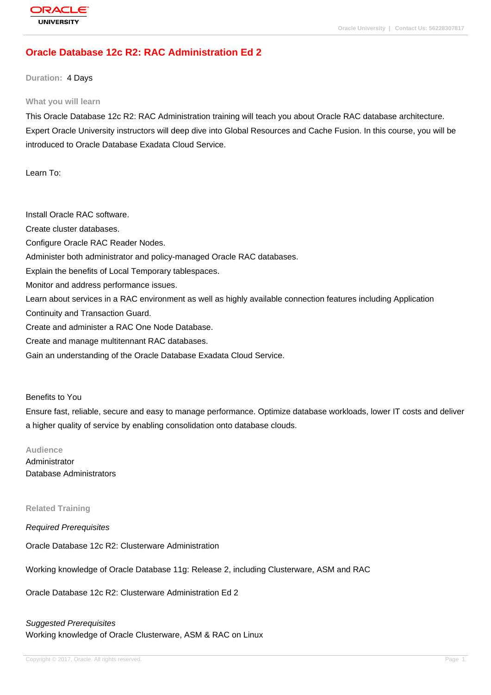# **[Oracle Databas](http://education.oracle.com/pls/web_prod-plq-dad/db_pages.getpage?page_id=3)e 12c R2: RAC Administration Ed 2**

**Duration:** 4 Days

#### **What you will learn**

This Oracle Database 12c R2: RAC Administration training will teach you about Oracle RAC database architecture. Expert Oracle University instructors will deep dive into Global Resources and Cache Fusion. In this course, you will be introduced to Oracle Database Exadata Cloud Service.

Learn To:

Install Oracle RAC software. Create cluster databases. Configure Oracle RAC Reader Nodes. Administer both administrator and policy-managed Oracle RAC databases. Explain the benefits of Local Temporary tablespaces. Monitor and address performance issues. Learn about services in a RAC environment as well as highly available connection features including Application Continuity and Transaction Guard. Create and administer a RAC One Node Database. Create and manage multitennant RAC databases. Gain an understanding of the Oracle Database Exadata Cloud Service.

#### Benefits to You

Ensure fast, reliable, secure and easy to manage performance. Optimize database workloads, lower IT costs and deliver a higher quality of service by enabling consolidation onto database clouds.

#### **Audience**

Administrator Database Administrators

**Related Training**

Required Prerequisites

Oracle Database 12c R2: Clusterware Administration

Working knowledge of Oracle Database 11g: Release 2, including Clusterware, ASM and RAC

Oracle Database 12c R2: Clusterware Administration Ed 2

#### Suggested Prerequisites

Working knowledge of Oracle Clusterware, ASM & RAC on Linux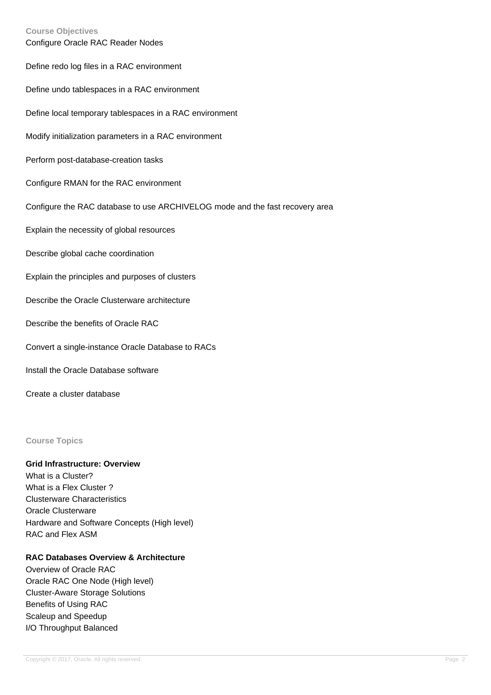#### **Course Objectives**

| Configure Oracle RAC Reader Nodes                                            |
|------------------------------------------------------------------------------|
| Define redo log files in a RAC environment                                   |
| Define undo tablespaces in a RAC environment                                 |
| Define local temporary tablespaces in a RAC environment                      |
| Modify initialization parameters in a RAC environment                        |
| Perform post-database-creation tasks                                         |
| Configure RMAN for the RAC environment                                       |
| Configure the RAC database to use ARCHIVELOG mode and the fast recovery area |
| Explain the necessity of global resources                                    |
| Describe global cache coordination                                           |
| Explain the principles and purposes of clusters                              |
| Describe the Oracle Clusterware architecture                                 |
| Describe the benefits of Oracle RAC                                          |
| Convert a single-instance Oracle Database to RACs                            |
| Install the Oracle Database software                                         |
| Create a cluster database                                                    |

### **Course Topics**

## **Grid Infrastructure: Overview**

What is a Cluster? What is a Flex Cluster ? Clusterware Characteristics Oracle Clusterware Hardware and Software Concepts (High level) RAC and Flex ASM

## **RAC Databases Overview & Architecture**

Overview of Oracle RAC Oracle RAC One Node (High level) Cluster-Aware Storage Solutions Benefits of Using RAC Scaleup and Speedup I/O Throughput Balanced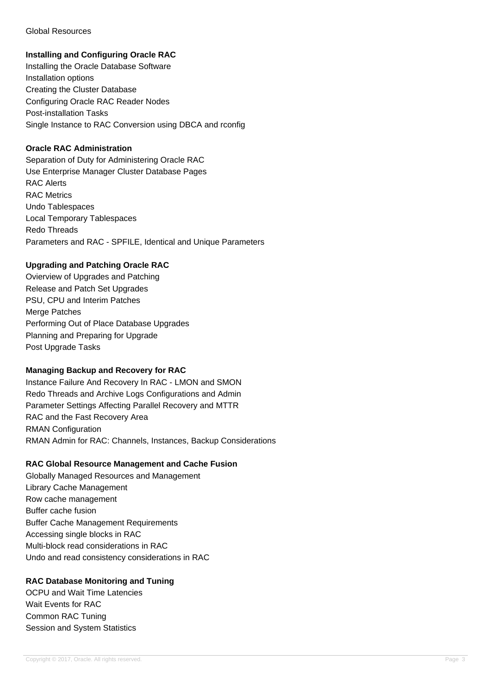### Global Resources

## **Installing and Configuring Oracle RAC**

Installing the Oracle Database Software Installation options Creating the Cluster Database Configuring Oracle RAC Reader Nodes Post-installation Tasks Single Instance to RAC Conversion using DBCA and rconfig

## **Oracle RAC Administration**

Separation of Duty for Administering Oracle RAC Use Enterprise Manager Cluster Database Pages RAC Alerts RAC Metrics Undo Tablespaces Local Temporary Tablespaces Redo Threads Parameters and RAC - SPFILE, Identical and Unique Parameters

## **Upgrading and Patching Oracle RAC**

Ovierview of Upgrades and Patching Release and Patch Set Upgrades PSU, CPU and Interim Patches Merge Patches Performing Out of Place Database Upgrades Planning and Preparing for Upgrade Post Upgrade Tasks

#### **Managing Backup and Recovery for RAC**

Instance Failure And Recovery In RAC - LMON and SMON Redo Threads and Archive Logs Configurations and Admin Parameter Settings Affecting Parallel Recovery and MTTR RAC and the Fast Recovery Area RMAN Configuration RMAN Admin for RAC: Channels, Instances, Backup Considerations

# **RAC Global Resource Management and Cache Fusion**

Globally Managed Resources and Management Library Cache Management Row cache management Buffer cache fusion Buffer Cache Management Requirements Accessing single blocks in RAC Multi-block read considerations in RAC Undo and read consistency considerations in RAC

# **RAC Database Monitoring and Tuning**

OCPU and Wait Time Latencies Wait Events for RAC Common RAC Tuning Session and System Statistics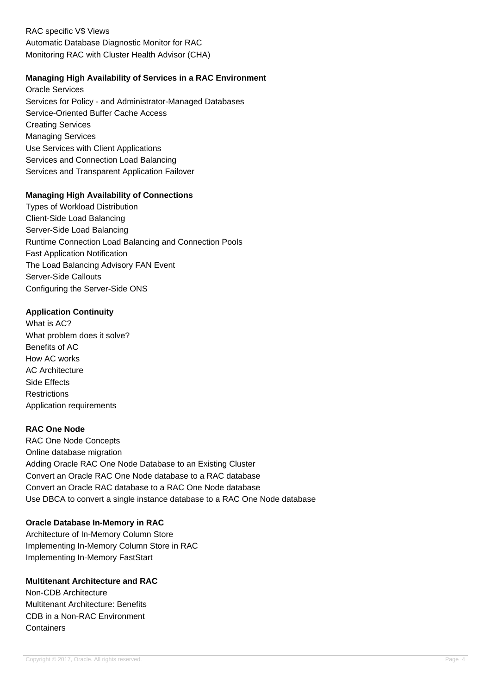RAC specific V\$ Views Automatic Database Diagnostic Monitor for RAC Monitoring RAC with Cluster Health Advisor (CHA)

## **Managing High Availability of Services in a RAC Environment**

Oracle Services Services for Policy - and Administrator-Managed Databases Service-Oriented Buffer Cache Access Creating Services Managing Services Use Services with Client Applications Services and Connection Load Balancing Services and Transparent Application Failover

## **Managing High Availability of Connections**

Types of Workload Distribution Client-Side Load Balancing Server-Side Load Balancing Runtime Connection Load Balancing and Connection Pools Fast Application Notification The Load Balancing Advisory FAN Event Server-Side Callouts Configuring the Server-Side ONS

## **Application Continuity**

What is AC? What problem does it solve? Benefits of AC How AC works AC Architecture Side Effects **Restrictions** Application requirements

## **RAC One Node**

RAC One Node Concepts Online database migration Adding Oracle RAC One Node Database to an Existing Cluster Convert an Oracle RAC One Node database to a RAC database Convert an Oracle RAC database to a RAC One Node database Use DBCA to convert a single instance database to a RAC One Node database

#### **Oracle Database In-Memory in RAC**

Architecture of In-Memory Column Store Implementing In-Memory Column Store in RAC Implementing In-Memory FastStart

## **Multitenant Architecture and RAC**

Non-CDB Architecture Multitenant Architecture: Benefits CDB in a Non-RAC Environment **Containers**